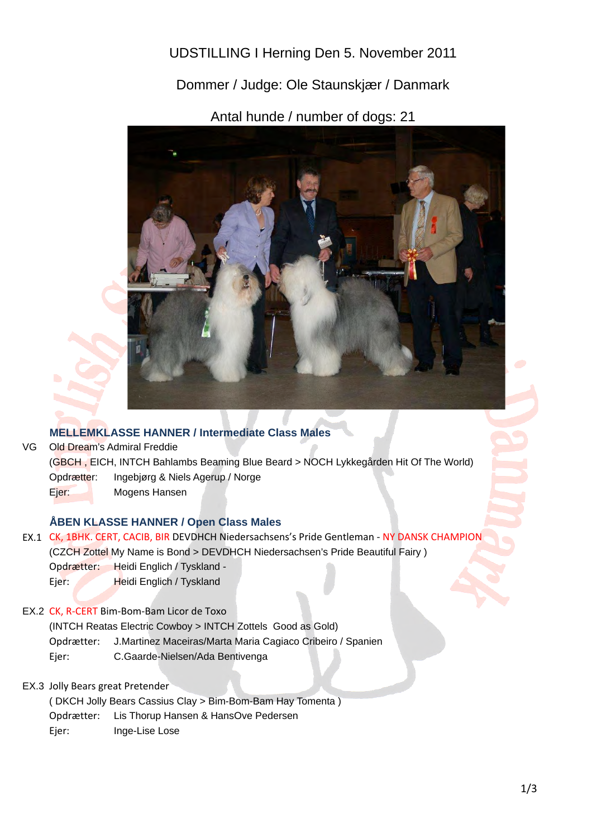UDSTILLING I Herning Den 5. November 2011

Dommer / Judge: Ole Staunskjær / Danmark

Antal hunde / number of dogs: 21



## **MELLEMKLASSE HANNER / Intermediate Class Males**

VG Opdrætter: Ingebjørg & Niels Agerup / Norge Ejer: Mogens Hansen Old Dream's Admiral Freddie (GBCH , EICH, INTCH Bahlambs Beaming Blue Beard > NOCH Lykkegården Hit Of The World)

## **ÅBEN KLASSE HANNER / Open Class Males**

- EX.1 CK, 1BHK. CERT, CACIB, BIR DEVDHCH Niedersachsens's Pride Gentleman NY DANSK CHAMPION Opdrætter: Heidi Englich / Tyskland - Ejer: Heidi Englich / Tyskland (CZCH Zottel My Name is Bond > DEVDHCH Niedersachsen's Pride Beautiful Fairy )
- EX.2 CK, R-CERT Bim-Bom-Bam Licor de Toxo

(INTCH Reatas Electric Cowboy > INTCH Zottels Good as Gold)

Opdrætter: J.Martinez Maceiras/Marta Maria Cagiaco Cribeiro / Spanien

Ejer: C.Gaarde-Nielsen/Ada Bentivenga

## EX.3 Jolly Bears great Pretender

Opdrætter: Lis Thorup Hansen & HansOve Pedersen Ejer: Inge-Lise Lose ( DKCH Jolly Bears Cassius Clay > Bim-Bom-Bam Hay Tomenta )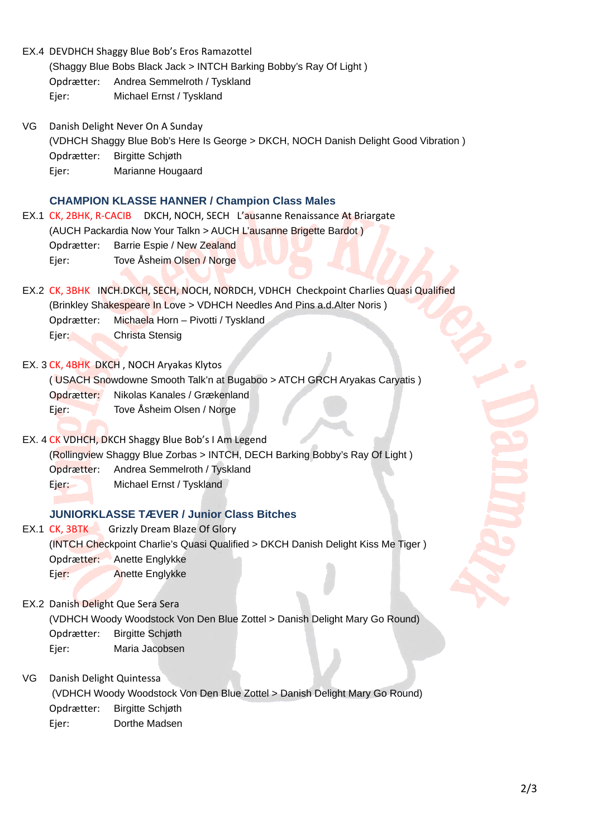|                                                      |                          | EX.4 DEVDHCH Shaggy Blue Bob's Eros Ramazottel                                         |  |
|------------------------------------------------------|--------------------------|----------------------------------------------------------------------------------------|--|
|                                                      |                          | (Shaggy Blue Bobs Black Jack > INTCH Barking Bobby's Ray Of Light)                     |  |
|                                                      | Opdrætter:               | Andrea Semmelroth / Tyskland                                                           |  |
|                                                      | Ejer:                    | Michael Ernst / Tyskland                                                               |  |
| VG                                                   |                          | Danish Delight Never On A Sunday                                                       |  |
|                                                      |                          | (VDHCH Shaggy Blue Bob's Here Is George > DKCH, NOCH Danish Delight Good Vibration)    |  |
|                                                      | Opdrætter:               | <b>Birgitte Schjøth</b>                                                                |  |
|                                                      | Ejer:                    | Marianne Hougaard                                                                      |  |
| <b>CHAMPION KLASSE HANNER / Champion Class Males</b> |                          |                                                                                        |  |
|                                                      |                          | EX.1 CK, 2BHK, R-CACIB DKCH, NOCH, SECH L'ausanne Renaissance At Briargate             |  |
|                                                      |                          | (AUCH Packardia Now Your Talkn > AUCH L'ausanne Brigette Bardot)                       |  |
|                                                      | Opdrætter:               | Barrie Espie / New Zealand                                                             |  |
|                                                      | Ejer:                    | Tove Åsheim Olsen / Norge                                                              |  |
|                                                      |                          | EX.2 CK, 3BHK INCH.DKCH, SECH, NOCH, NORDCH, VDHCH Checkpoint Charlies Quasi Qualified |  |
|                                                      |                          | (Brinkley Shakespeare In Love > VDHCH Needles And Pins a.d. Alter Noris)               |  |
|                                                      | Opdrætter:               | Michaela Horn - Pivotti / Tyskland                                                     |  |
|                                                      | Ejer:                    | Christa Stensig                                                                        |  |
|                                                      |                          |                                                                                        |  |
|                                                      |                          | EX. 3 CK, 4BHK DKCH, NOCH Aryakas Klytos                                               |  |
|                                                      |                          | (USACH Snowdowne Smooth Talk'n at Bugaboo > ATCH GRCH Aryakas Caryatis)                |  |
|                                                      | Opdrætter:               | Nikolas Kanales / Grækenland                                                           |  |
|                                                      | Ejer:                    | Tove Åsheim Olsen / Norge                                                              |  |
| EX. 4 CK VDHCH, DKCH Shaggy Blue Bob's I Am Legend   |                          |                                                                                        |  |
|                                                      |                          | (Rollingview Shaggy Blue Zorbas > INTCH, DECH Barking Bobby's Ray Of Light)            |  |
|                                                      | Opdrætter:               | Andrea Semmelroth / Tyskland                                                           |  |
|                                                      | Ejer:                    | Michael Ernst / Tyskland                                                               |  |
|                                                      |                          |                                                                                        |  |
|                                                      |                          | <b>JUNIORKLASSE TÆVER / Junior Class Bitches</b>                                       |  |
|                                                      | $EX.1$ CK, $3BTK$        | <b>Grizzly Dream Blaze Of Glory</b>                                                    |  |
|                                                      |                          | (INTCH Checkpoint Charlie's Quasi Qualified > DKCH Danish Delight Kiss Me Tiger)       |  |
|                                                      | Opdrætter:               | Anette Englykke                                                                        |  |
|                                                      | Ejer:                    | Anette Englykke                                                                        |  |
| EX.2 Danish Delight Que Sera Sera                    |                          |                                                                                        |  |
|                                                      |                          | (VDHCH Woody Woodstock Von Den Blue Zottel > Danish Delight Mary Go Round)             |  |
|                                                      | Opdrætter:               | <b>Birgitte Schjøth</b>                                                                |  |
|                                                      | Ejer:                    | Maria Jacobsen                                                                         |  |
|                                                      |                          |                                                                                        |  |
| VG                                                   | Danish Delight Quintessa |                                                                                        |  |
|                                                      |                          | (VDHCH Woody Woodstock Von Den Blue Zottel > Danish Delight Mary Go Round)             |  |
|                                                      | Opdrætter:               | <b>Birgitte Schjøth</b>                                                                |  |
|                                                      | Ejer:                    | Dorthe Madsen                                                                          |  |